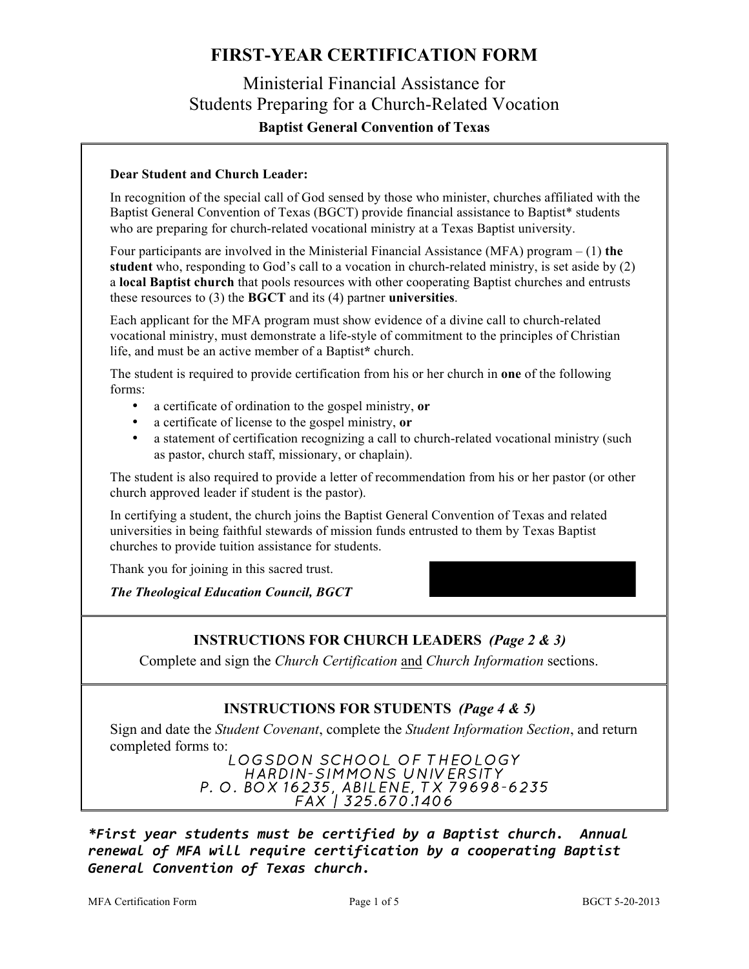## Ministerial Financial Assistance for Students Preparing for a Church-Related Vocation **Baptist General Convention of Texas**

#### **Dear Student and Church Leader:**

In recognition of the special call of God sensed by those who minister, churches affiliated with the Baptist General Convention of Texas (BGCT) provide financial assistance to Baptist\* students who are preparing for church-related vocational ministry at a Texas Baptist university.

Four participants are involved in the Ministerial Financial Assistance (MFA) program – (1) **the student** who, responding to God's call to a vocation in church-related ministry, is set aside by (2) a **local Baptist church** that pools resources with other cooperating Baptist churches and entrusts these resources to (3) the **BGCT** and its (4) partner **universities**.

Each applicant for the MFA program must show evidence of a divine call to church-related vocational ministry, must demonstrate a life-style of commitment to the principles of Christian life, and must be an active member of a Baptist**\*** church.

The student is required to provide certification from his or her church in **one** of the following forms:

- a certificate of ordination to the gospel ministry, **or**
- a certificate of license to the gospel ministry, **or**
- a statement of certification recognizing a call to church-related vocational ministry (such as pastor, church staff, missionary, or chaplain).

The student is also required to provide a letter of recommendation from his or her pastor (or other church approved leader if student is the pastor).

In certifying a student, the church joins the Baptist General Convention of Texas and related universities in being faithful stewards of mission funds entrusted to them by Texas Baptist churches to provide tuition assistance for students.

Thank you for joining in this sacred trust.

*The Theological Education Council, BGCT*

#### **INSTRUCTIONS FOR CHURCH LEADERS** *(Page 2 & 3)*

Complete and sign the *Church Certification* and *Church Information* sections.

#### **INSTRUCTIONS FOR STUDENTS** *(Page 4 & 5)*

Sign and date the *Student Covenant*, complete the *Student Information Section*, and return

# completed forms to:<br>LOGSDON SCHOOL OF THEOLOGY<br>HARDIN-SIMMONS UNIVERSITY<br>P. O. BOX 16235, ABILENE, TX 79698-6235<br>FAX | 325.670.1406

*\*First year students must be certified by a Baptist church. Annual renewal of MFA will require certification by a cooperating Baptist General Convention of Texas church.*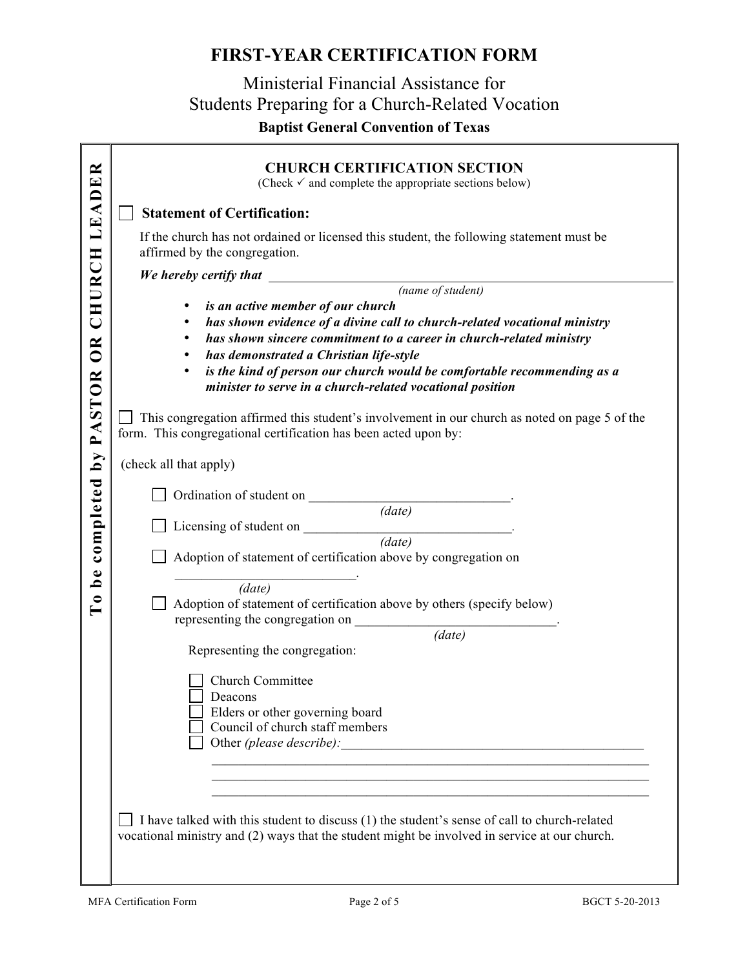## Ministerial Financial Assistance for Students Preparing for a Church-Related Vocation **Baptist General Convention of Texas**

| LEADER               | <b>CHURCH CERTIFICATION SECTION</b><br>(Check $\checkmark$ and complete the appropriate sections below)                                                                                       |
|----------------------|-----------------------------------------------------------------------------------------------------------------------------------------------------------------------------------------------|
|                      | <b>Statement of Certification:</b>                                                                                                                                                            |
|                      | If the church has not ordained or licensed this student, the following statement must be<br>affirmed by the congregation.                                                                     |
| CHURCH               |                                                                                                                                                                                               |
|                      |                                                                                                                                                                                               |
|                      | is an active member of our church<br>٠                                                                                                                                                        |
|                      | has shown evidence of a divine call to church-related vocational ministry<br>٠                                                                                                                |
|                      | has shown sincere commitment to a career in church-related ministry<br>٠                                                                                                                      |
| <b>OR</b>            | has demonstrated a Christian life-style<br>٠                                                                                                                                                  |
|                      | is the kind of person our church would be comfortable recommending as a<br>٠                                                                                                                  |
|                      | minister to serve in a church-related vocational position                                                                                                                                     |
| PASTOR               | This congregation affirmed this student's involvement in our church as noted on page 5 of the<br>form. This congregational certification has been acted upon by:                              |
| $\tilde{\mathbf{q}}$ | (check all that apply)                                                                                                                                                                        |
|                      |                                                                                                                                                                                               |
| completed            | Ordination of student on (date)                                                                                                                                                               |
|                      |                                                                                                                                                                                               |
|                      | Licensing of student on $\frac{1}{(date)}$ .                                                                                                                                                  |
|                      |                                                                                                                                                                                               |
|                      | Adoption of statement of certification above by congregation on                                                                                                                               |
| ہ<br>ط               |                                                                                                                                                                                               |
| $\bullet$            | (data)                                                                                                                                                                                        |
|                      | Adoption of statement of certification above by others (specify below)                                                                                                                        |
|                      | representing the congregation on<br>$\overline{(date)}$                                                                                                                                       |
|                      | Representing the congregation:                                                                                                                                                                |
|                      |                                                                                                                                                                                               |
|                      | Church Committee                                                                                                                                                                              |
|                      | Deacons                                                                                                                                                                                       |
|                      | Elders or other governing board                                                                                                                                                               |
|                      | Council of church staff members                                                                                                                                                               |
|                      | Other (please describe):                                                                                                                                                                      |
|                      |                                                                                                                                                                                               |
|                      |                                                                                                                                                                                               |
|                      |                                                                                                                                                                                               |
|                      | I have talked with this student to discuss (1) the student's sense of call to church-related<br>vocational ministry and (2) ways that the student might be involved in service at our church. |
|                      |                                                                                                                                                                                               |
|                      | MFA Certification Form<br>Page 2 of 5<br>BGCT 5-20-2013                                                                                                                                       |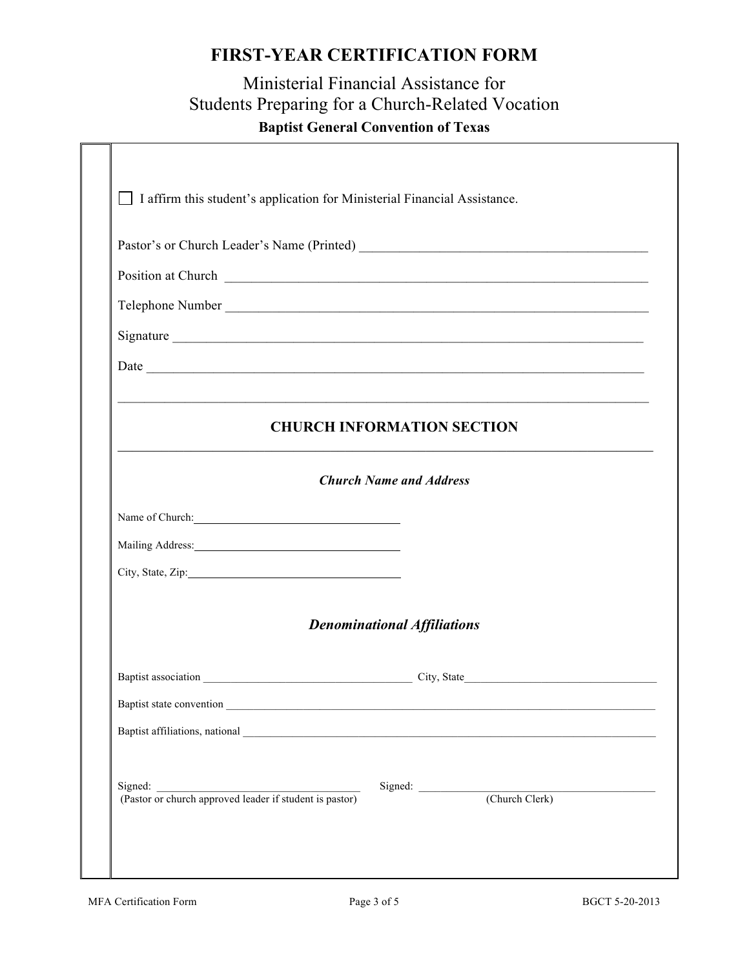## Ministerial Financial Assistance for Students Preparing for a Church-Related Vocation **Baptist General Convention of Texas**

|                                                                                                                                                                                                                                | Telephone Number                                                                                                      |
|--------------------------------------------------------------------------------------------------------------------------------------------------------------------------------------------------------------------------------|-----------------------------------------------------------------------------------------------------------------------|
|                                                                                                                                                                                                                                |                                                                                                                       |
|                                                                                                                                                                                                                                |                                                                                                                       |
|                                                                                                                                                                                                                                | <u> 1989 - Johann Stoff, deutscher Stoff, der Stoff, der Stoff, der Stoff, der Stoff, der Stoff, der Stoff, der S</u> |
|                                                                                                                                                                                                                                | <b>CHURCH INFORMATION SECTION</b>                                                                                     |
|                                                                                                                                                                                                                                |                                                                                                                       |
|                                                                                                                                                                                                                                | <b>Church Name and Address</b>                                                                                        |
| Name of Church:                                                                                                                                                                                                                |                                                                                                                       |
| Mailing Address: Mailing Address: Mailing Address: Mailing Address: Mailing Address: Mailing Address: Mailing Address: Mailing Address: Mailing Address: Mailing Address: Mailing Address: Mailing Address: Mailing Address: M |                                                                                                                       |
|                                                                                                                                                                                                                                |                                                                                                                       |
|                                                                                                                                                                                                                                |                                                                                                                       |
|                                                                                                                                                                                                                                | <b>Denominational Affiliations</b>                                                                                    |
|                                                                                                                                                                                                                                |                                                                                                                       |
|                                                                                                                                                                                                                                |                                                                                                                       |
|                                                                                                                                                                                                                                |                                                                                                                       |
|                                                                                                                                                                                                                                |                                                                                                                       |
|                                                                                                                                                                                                                                |                                                                                                                       |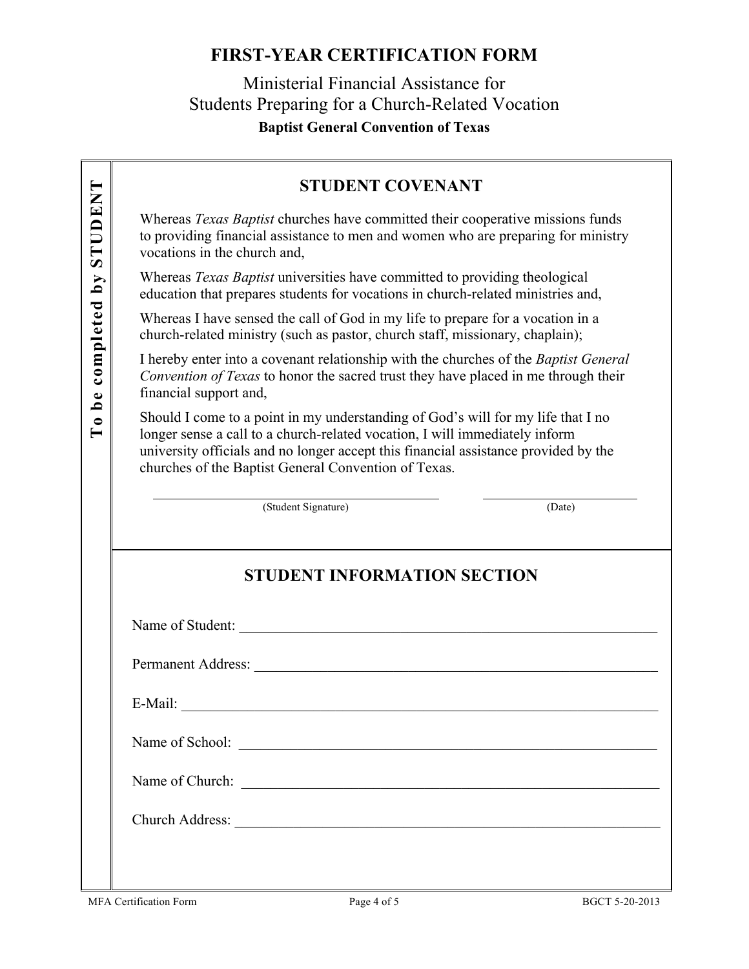## Ministerial Financial Assistance for Students Preparing for a Church-Related Vocation **Baptist General Convention of Texas**

#### **STUDENT COVENANT**

Whereas *Texas Baptist* churches have committed their cooperative missions funds to providing financial assistance to men and women who are preparing for ministry vocations in the church and,

Whereas *Texas Baptist* universities have committed to providing theological education that prepares students for vocations in church-related ministries and,

Whereas I have sensed the call of God in my life to prepare for a vocation in a church-related ministry (such as pastor, church staff, missionary, chaplain);

I hereby enter into a covenant relationship with the churches of the *Baptist General Convention of Texas* to honor the sacred trust they have placed in me through their financial support and,

**EXERCTIVE STRANS STEADS**<br>
Whereas *Texas Baptist* churches have committed their cooperative missions funds<br>
to providing financial assistance to men and women who are preparing for ministry<br>
vertices *Texas Baptist* unit Should I come to a point in my understanding of God's will for my life that I no longer sense a call to a church-related vocation, I will immediately inform university officials and no longer accept this financial assistance provided by the churches of the Baptist General Convention of Texas.

(Student Signature) (Date)

#### **STUDENT INFORMATION SECTION**

Name of Student:

| <b>Permanent Address:</b> |  |  |
|---------------------------|--|--|

E-Mail: \_\_\_\_\_\_\_\_\_\_\_\_\_\_\_\_\_\_\_\_\_\_\_\_\_\_\_\_\_\_\_\_\_\_\_\_\_\_\_\_\_\_\_\_\_\_\_\_\_\_\_\_\_\_\_\_\_\_\_\_\_\_\_\_\_

Name of School: \_\_\_\_\_\_\_\_\_\_\_\_\_\_\_\_\_\_\_\_\_\_\_\_\_\_\_\_\_\_\_\_\_\_\_\_\_\_\_\_\_\_\_\_\_\_\_\_\_\_\_\_\_\_\_\_\_

Name of Church:

Church Address: \_\_\_\_\_\_\_\_\_\_\_\_\_\_\_\_\_\_\_\_\_\_\_\_\_\_\_\_\_\_\_\_\_\_\_\_\_\_\_\_\_\_\_\_\_\_\_\_\_\_\_\_\_\_\_\_\_\_